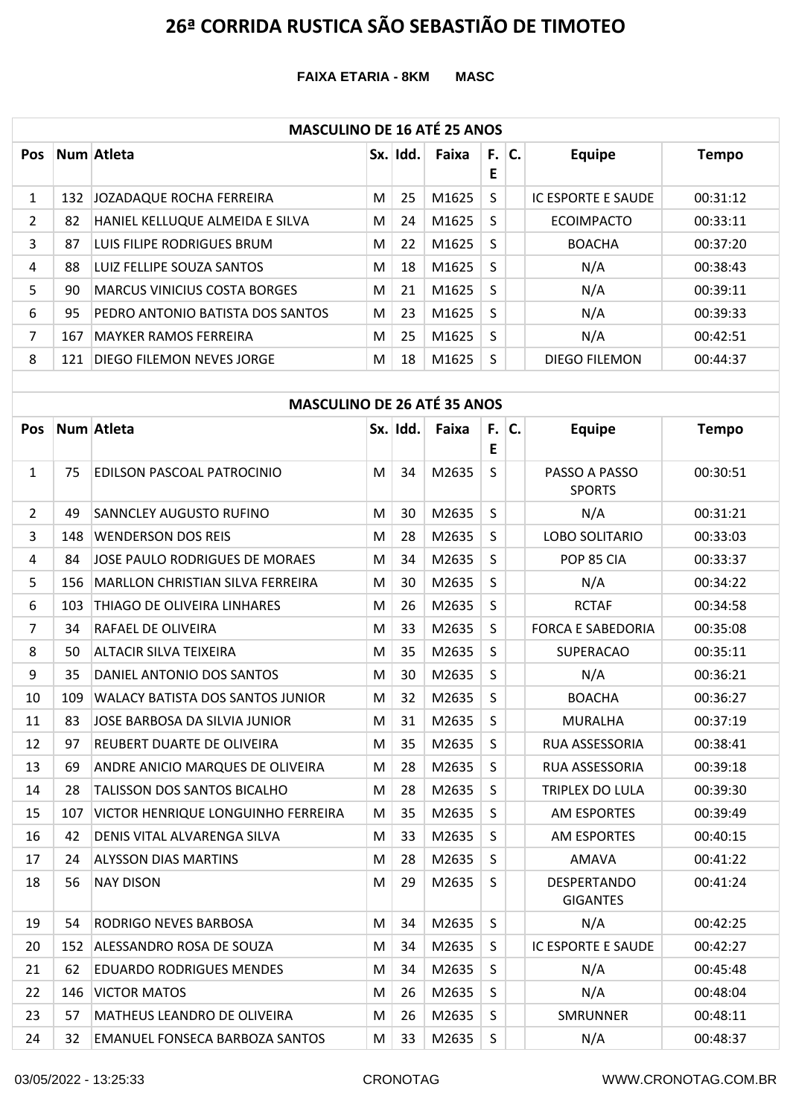**FAIXA ETARIA - 8KM MASC**

### **MASCULINO DE 16 ATÉ 25 ANOS**

| <b>Pos</b>   |     | Num Atleta                       |   | Sx. Idd. | Faixa | F. I<br>E | C. | <b>Equipe</b>             | <b>Tempo</b> |  |  |  |  |
|--------------|-----|----------------------------------|---|----------|-------|-----------|----|---------------------------|--------------|--|--|--|--|
| $\mathbf{1}$ | 132 | JOZADAQUE ROCHA FERREIRA         | М | 25       | M1625 | S.        |    | <b>IC ESPORTE E SAUDE</b> | 00:31:12     |  |  |  |  |
| 2            | 82  | HANIEL KELLUQUE ALMEIDA E SILVA  | M | 24       | M1625 | S         |    | <b>ECOIMPACTO</b>         | 00:33:11     |  |  |  |  |
| 3            | 87  | LUIS FILIPE RODRIGUES BRUM       | M | 22       | M1625 | S.        |    | <b>BOACHA</b>             | 00:37:20     |  |  |  |  |
| 4            | 88  | LUIZ FELLIPE SOUZA SANTOS        | M | 18       | M1625 | S         |    | N/A                       | 00:38:43     |  |  |  |  |
| 5            | 90  | MARCUS VINICIUS COSTA BORGES     | M | 21       | M1625 | S         |    | N/A                       | 00:39:11     |  |  |  |  |
| 6            | 95  | PEDRO ANTONIO BATISTA DOS SANTOS | M | 23       | M1625 | S.        |    | N/A                       | 00:39:33     |  |  |  |  |
| 7            | 167 | <b>MAYKER RAMOS FERREIRA</b>     | M | 25       | M1625 | S         |    | N/A                       | 00:42:51     |  |  |  |  |
| 8            | 121 | DIEGO FILEMON NEVES JORGE        | M | 18       | M1625 | S         |    | DIEGO FILEMON             | 00:44:37     |  |  |  |  |

|                | <b>MASCULINO DE 26 ATÉ 35 ANOS</b> |                                         |   |          |       |              |    |                                       |              |  |  |  |  |
|----------------|------------------------------------|-----------------------------------------|---|----------|-------|--------------|----|---------------------------------------|--------------|--|--|--|--|
| Pos            |                                    | Num Atleta                              |   | Sx. Idd. | Faixa | F.I<br>E     | C. | <b>Equipe</b>                         | <b>Tempo</b> |  |  |  |  |
| $\mathbf{1}$   | 75                                 | EDILSON PASCOAL PATROCINIO              | M | 34       | M2635 | S            |    | PASSO A PASSO<br><b>SPORTS</b>        | 00:30:51     |  |  |  |  |
| $\overline{2}$ | 49                                 | SANNCLEY AUGUSTO RUFINO                 | M | 30       | M2635 | S            |    | N/A                                   | 00:31:21     |  |  |  |  |
| 3              | 148                                | <b>WENDERSON DOS REIS</b>               | M | 28       | M2635 | S            |    | LOBO SOLITARIO                        | 00:33:03     |  |  |  |  |
| 4              | 84                                 | JOSE PAULO RODRIGUES DE MORAES          | м | 34       | M2635 | S            |    | POP 85 CIA                            | 00:33:37     |  |  |  |  |
| 5              | 156                                | <b>MARLLON CHRISTIAN SILVA FERREIRA</b> | M | 30       | M2635 | S            |    | N/A                                   | 00:34:22     |  |  |  |  |
| 6              | 103                                | THIAGO DE OLIVEIRA LINHARES             | M | 26       | M2635 | S            |    | <b>RCTAF</b>                          | 00:34:58     |  |  |  |  |
| $\overline{7}$ | 34                                 | RAFAEL DE OLIVEIRA                      | M | 33       | M2635 | S            |    | <b>FORCA E SABEDORIA</b>              | 00:35:08     |  |  |  |  |
| 8              | 50                                 | ALTACIR SILVA TEIXEIRA                  | M | 35       | M2635 | S            |    | <b>SUPERACAO</b>                      | 00:35:11     |  |  |  |  |
| 9              | 35                                 | DANIEL ANTONIO DOS SANTOS               | M | 30       | M2635 | S            |    | N/A                                   | 00:36:21     |  |  |  |  |
| 10             | 109                                | WALACY BATISTA DOS SANTOS JUNIOR        | M | 32       | M2635 | S            |    | <b>BOACHA</b>                         | 00:36:27     |  |  |  |  |
| 11             | 83                                 | JOSE BARBOSA DA SILVIA JUNIOR           | M | 31       | M2635 | S            |    | <b>MURALHA</b>                        | 00:37:19     |  |  |  |  |
| 12             | 97                                 | REUBERT DUARTE DE OLIVEIRA              | М | 35       | M2635 | S            |    | RUA ASSESSORIA                        | 00:38:41     |  |  |  |  |
| 13             | 69                                 | ANDRE ANICIO MARQUES DE OLIVEIRA        | M | 28       | M2635 | S            |    | RUA ASSESSORIA                        | 00:39:18     |  |  |  |  |
| 14             | 28                                 | TALISSON DOS SANTOS BICALHO             | м | 28       | M2635 | <sub>S</sub> |    | TRIPLEX DO LULA                       | 00:39:30     |  |  |  |  |
| 15             | 107                                | VICTOR HENRIQUE LONGUINHO FERREIRA      | M | 35       | M2635 | S            |    | AM ESPORTES                           | 00:39:49     |  |  |  |  |
| 16             | 42                                 | DENIS VITAL ALVARENGA SILVA             | M | 33       | M2635 | S            |    | AM ESPORTES                           | 00:40:15     |  |  |  |  |
| 17             | 24                                 | <b>ALYSSON DIAS MARTINS</b>             | M | 28       | M2635 | S            |    | <b>AMAVA</b>                          | 00:41:22     |  |  |  |  |
| 18             | 56                                 | <b>NAY DISON</b>                        | M | 29       | M2635 | S            |    | <b>DESPERTANDO</b><br><b>GIGANTES</b> | 00:41:24     |  |  |  |  |
| 19             | 54                                 | RODRIGO NEVES BARBOSA                   | M | 34       | M2635 | S            |    | N/A                                   | 00:42:25     |  |  |  |  |
| 20             | 152                                | ALESSANDRO ROSA DE SOUZA                | М | 34       | M2635 | S            |    | IC ESPORTE E SAUDE                    | 00:42:27     |  |  |  |  |
| 21             | 62                                 | EDUARDO RODRIGUES MENDES                | М | 34       | M2635 | S            |    | N/A                                   | 00:45:48     |  |  |  |  |
| 22             | 146                                | <b>VICTOR MATOS</b>                     | M | 26       | M2635 | S            |    | N/A                                   | 00:48:04     |  |  |  |  |
| 23             | 57                                 | MATHEUS LEANDRO DE OLIVEIRA             | M | 26       | M2635 | S            |    | <b>SMRUNNER</b>                       | 00:48:11     |  |  |  |  |
| 24             | 32                                 | EMANUEL FONSECA BARBOZA SANTOS          | M | 33       | M2635 | S            |    | N/A                                   | 00:48:37     |  |  |  |  |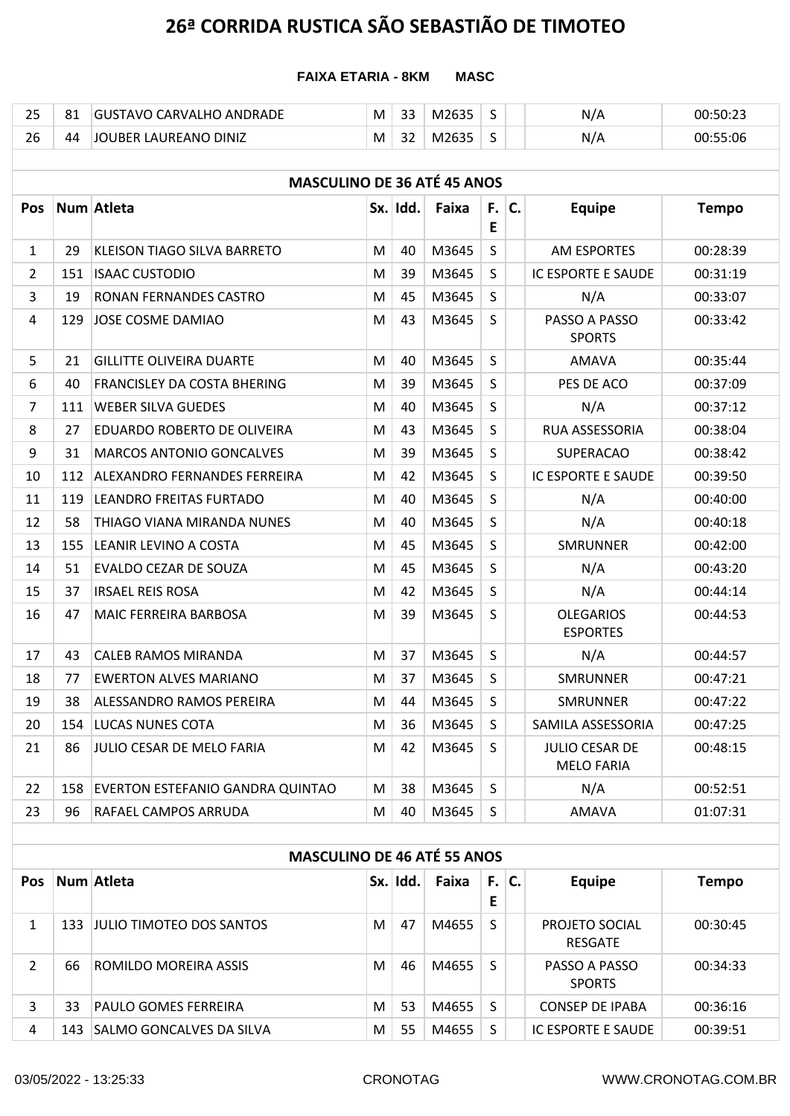### **FAIXA ETARIA - 8KM MASC**

| $\sim$ $-$<br>ر ے | C.A<br>ົ | <b>DRADF</b><br>ΔNΙ<br><b>ARVAI</b><br>$\cdots$<br>∖ราเ<br>- | M | $\sim$<br>33  | $- -$<br>M | -<br> | N   | ・50・23 |
|-------------------|----------|--------------------------------------------------------------|---|---------------|------------|-------|-----|--------|
| $\sim$<br>ZU.     | 44       | LAUREANO DINIZ<br>'IOUBER                                    | M | $\sim$<br>ے ت | ™∠         |       | N/A | 55:06  |

|                | <b>MASCULINO DE 36 ATÉ 45 ANOS</b> |                                         |   |          |       |              |  |                                            |              |  |  |  |
|----------------|------------------------------------|-----------------------------------------|---|----------|-------|--------------|--|--------------------------------------------|--------------|--|--|--|
| Pos            |                                    | Num Atleta                              |   | Sx. Idd. | Faixa | $F.$ C.<br>E |  | <b>Equipe</b>                              | <b>Tempo</b> |  |  |  |
| $\mathbf{1}$   | 29                                 | KLEISON TIAGO SILVA BARRETO             | M | 40       | M3645 | S            |  | <b>AM ESPORTES</b>                         | 00:28:39     |  |  |  |
| $\overline{2}$ | 151                                | <b>ISAAC CUSTODIO</b>                   | M | 39       | M3645 | S            |  | IC ESPORTE E SAUDE                         | 00:31:19     |  |  |  |
| $\overline{3}$ | 19                                 | RONAN FERNANDES CASTRO                  | M | 45       | M3645 | $\mathsf{S}$ |  | N/A                                        | 00:33:07     |  |  |  |
| 4              | 129                                | JOSE COSME DAMIAO                       | M | 43       | M3645 | S            |  | PASSO A PASSO<br><b>SPORTS</b>             | 00:33:42     |  |  |  |
| 5              | 21                                 | <b>GILLITTE OLIVEIRA DUARTE</b>         | м | 40       | M3645 | S            |  | AMAVA                                      | 00:35:44     |  |  |  |
| 6              | 40                                 | <b>FRANCISLEY DA COSTA BHERING</b>      | M | 39       | M3645 | $\mathsf{S}$ |  | PES DE ACO                                 | 00:37:09     |  |  |  |
| $\overline{7}$ | 111                                | <b>WEBER SILVA GUEDES</b>               | м | 40       | M3645 | S            |  | N/A                                        | 00:37:12     |  |  |  |
| 8              | 27                                 | EDUARDO ROBERTO DE OLIVEIRA             | M | 43       | M3645 | S            |  | RUA ASSESSORIA                             | 00:38:04     |  |  |  |
| 9              | 31                                 | <b>MARCOS ANTONIO GONCALVES</b>         | M | 39       | M3645 | S            |  | <b>SUPERACAO</b>                           | 00:38:42     |  |  |  |
| 10             | 112                                | ALEXANDRO FERNANDES FERREIRA            | M | 42       | M3645 | $\mathsf{S}$ |  | IC ESPORTE E SAUDE                         | 00:39:50     |  |  |  |
| 11             | 119                                | LEANDRO FREITAS FURTADO                 | M | 40       | M3645 | $\mathsf{S}$ |  | N/A                                        | 00:40:00     |  |  |  |
| 12             | 58                                 | THIAGO VIANA MIRANDA NUNES              | M | 40       | M3645 | S            |  | N/A                                        | 00:40:18     |  |  |  |
| 13             | 155                                | LEANIR LEVINO A COSTA                   | M | 45       | M3645 | $\mathsf{S}$ |  | <b>SMRUNNER</b>                            | 00:42:00     |  |  |  |
| 14             | 51                                 | EVALDO CEZAR DE SOUZA                   | M | 45       | M3645 | $\mathsf{S}$ |  | N/A                                        | 00:43:20     |  |  |  |
| 15             | 37                                 | <b>IRSAEL REIS ROSA</b>                 | M | 42       | M3645 | $\mathsf{S}$ |  | N/A                                        | 00:44:14     |  |  |  |
| 16             | 47                                 | MAIC FERREIRA BARBOSA                   | M | 39       | M3645 | S            |  | <b>OLEGARIOS</b><br><b>ESPORTES</b>        | 00:44:53     |  |  |  |
| 17             | 43                                 | CALEB RAMOS MIRANDA                     | м | 37       | M3645 | S            |  | N/A                                        | 00:44:57     |  |  |  |
| 18             | 77                                 | <b>EWERTON ALVES MARIANO</b>            | M | 37       | M3645 | $\mathsf{S}$ |  | <b>SMRUNNER</b>                            | 00:47:21     |  |  |  |
| 19             | 38                                 | ALESSANDRO RAMOS PEREIRA                | м | 44       | M3645 | $\mathsf{S}$ |  | <b>SMRUNNER</b>                            | 00:47:22     |  |  |  |
| 20             | 154                                | <b>LUCAS NUNES COTA</b>                 | M | 36       | M3645 | S.           |  | SAMILA ASSESSORIA                          | 00:47:25     |  |  |  |
| 21             | 86                                 | JULIO CESAR DE MELO FARIA               | M | 42       | M3645 | $\mathsf{S}$ |  | <b>JULIO CESAR DE</b><br><b>MELO FARIA</b> | 00:48:15     |  |  |  |
| 22             | 158                                | <b>EVERTON ESTEFANIO GANDRA QUINTAO</b> | м | 38       | M3645 | $\mathsf{S}$ |  | N/A                                        | 00:52:51     |  |  |  |
| 23             | 96                                 | RAFAEL CAMPOS ARRUDA                    | M | 40       | M3645 | S            |  | AMAVA                                      | 01:07:31     |  |  |  |

| <b>MASCULINO DE 46 ATÉ 55 ANOS</b> |  |  |
|------------------------------------|--|--|
|                                    |  |  |

| <b>Pos</b> |      | Num Atleta                    |   | Sx. Idd. | Faixa | F.<br>Е | IC. | <b>Equipe</b>                    | <b>Tempo</b> |
|------------|------|-------------------------------|---|----------|-------|---------|-----|----------------------------------|--------------|
|            |      | 133  JULIO TIMOTEO DOS SANTOS | М | 47       | M4655 | S       |     | PROJETO SOCIAL<br><b>RESGATE</b> | 00:30:45     |
| 2          | 66   | ROMILDO MOREIRA ASSIS         | М | 46       | M4655 | S       |     | PASSO A PASSO<br><b>SPORTS</b>   | 00:34:33     |
| 3          | 33   | <b>PAULO GOMES FERREIRA</b>   | М | 53       | M4655 | S       |     | <b>CONSEP DE IPABA</b>           | 00:36:16     |
| 4          | 143. | SALMO GONCALVES DA SILVA      | М | 55       | M4655 | S       |     | IC ESPORTE E SAUDE               | 00:39:51     |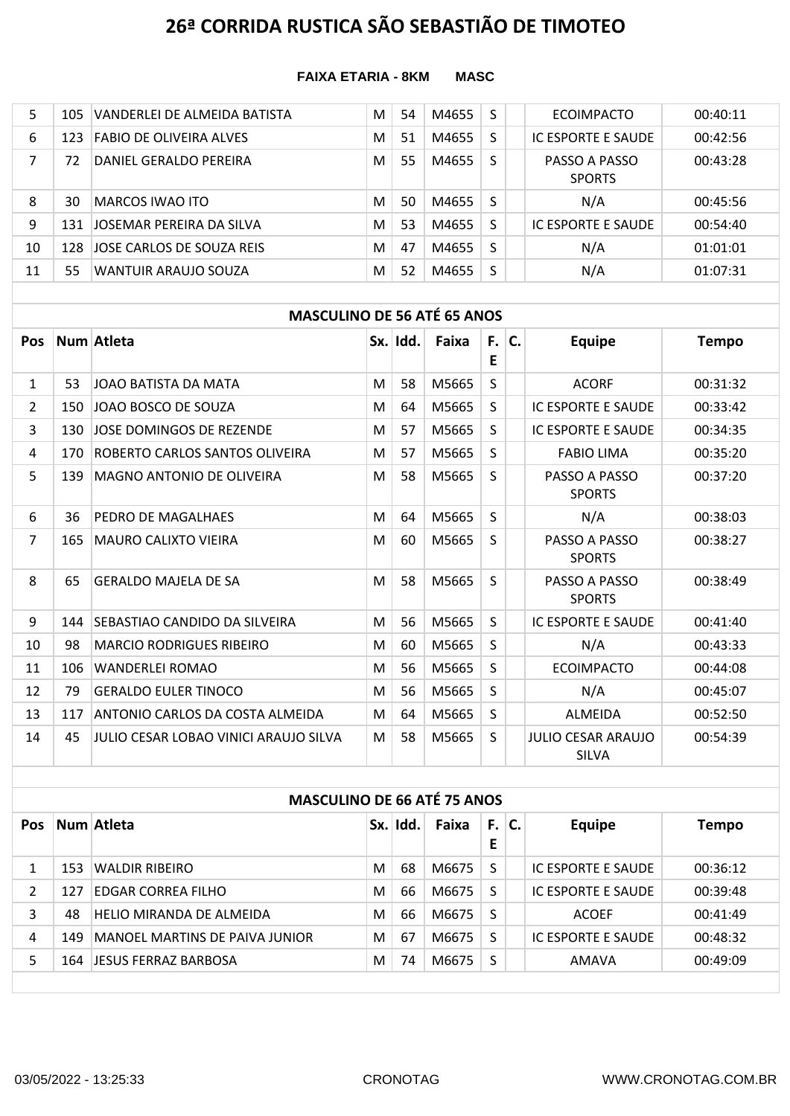#### **FAIXA ETARIA - 8KM MASC**

| 5  | 105  | VANDERLEI DE ALMEIDA BATISTA   | M | 54 | M4655 |   | <b>ECOIMPACTO</b>              | 00:40:11 |
|----|------|--------------------------------|---|----|-------|---|--------------------------------|----------|
| 6  | 123  | <b>FABIO DE OLIVEIRA ALVES</b> | M | 51 | M4655 | S | IC ESPORTE E SAUDE             | 00:42:56 |
|    | 72   | DANIEL GERALDO PEREIRA         | M | 55 | M4655 | S | PASSO A PASSO<br><b>SPORTS</b> | 00:43:28 |
| 8  | 30   | <b>MARCOS IWAO ITO</b>         | M | 50 | M4655 | S | N/A                            | 00:45:56 |
| 9  | 131  | JOSEMAR PEREIRA DA SILVA       | M | 53 | M4655 | S | IC ESPORTE E SAUDE             | 00:54:40 |
| 10 | 128. | JOSE CARLOS DE SOUZA REIS      | M | 47 | M4655 |   | N/A                            | 01:01:01 |
| 11 | 55   | WANTUIR ARAUJO SOUZA           | M | 52 | M4655 | S | N/A                            | 01:07:31 |

### **MASCULINO DE 56 ATÉ 65 ANOS**

| Pos            |     | Num Atleta                            |   | Sx. Idd. | Faixa | F.I<br>Е | C. | <b>Equipe</b>                             | <b>Tempo</b> |
|----------------|-----|---------------------------------------|---|----------|-------|----------|----|-------------------------------------------|--------------|
| $\mathbf{1}$   | 53. | JOAO BATISTA DA MATA                  | M | 58       | M5665 | S.       |    | <b>ACORF</b>                              | 00:31:32     |
| $\overline{2}$ | 150 | JOAO BOSCO DE SOUZA                   | M | 64       | M5665 | S.       |    | <b>IC ESPORTE E SAUDE</b>                 | 00:33:42     |
| 3              | 130 | JOSE DOMINGOS DE REZENDE              | M | 57       | M5665 | S.       |    | <b>IC ESPORTE E SAUDE</b>                 | 00:34:35     |
| 4              | 170 | ROBERTO CARLOS SANTOS OLIVEIRA        | M | 57       | M5665 | S.       |    | <b>FABIO LIMA</b>                         | 00:35:20     |
| 5              | 139 | MAGNO ANTONIO DE OLIVEIRA             | M | 58       | M5665 | S.       |    | PASSO A PASSO<br><b>SPORTS</b>            | 00:37:20     |
| 6              | 36  | PEDRO DE MAGALHAES                    | M | 64       | M5665 | S.       |    | N/A                                       | 00:38:03     |
| $\overline{7}$ | 165 | <b>MAURO CALIXTO VIEIRA</b>           | M | 60       | M5665 | S.       |    | PASSO A PASSO<br><b>SPORTS</b>            | 00:38:27     |
| 8              | 65  | <b>GERALDO MAJELA DE SA</b>           | M | 58       | M5665 | S.       |    | PASSO A PASSO<br><b>SPORTS</b>            | 00:38:49     |
| 9              | 144 | SEBASTIAO CANDIDO DA SILVEIRA         | M | 56       | M5665 | S.       |    | <b>IC ESPORTE E SAUDE</b>                 | 00:41:40     |
| 10             | 98  | <b>MARCIO RODRIGUES RIBEIRO</b>       | M | 60       | M5665 | S.       |    | N/A                                       | 00:43:33     |
| 11             | 106 | <b>WANDERLEI ROMAO</b>                | M | 56       | M5665 | S.       |    | <b>ECOIMPACTO</b>                         | 00:44:08     |
| 12             | 79  | <b>GERALDO EULER TINOCO</b>           | M | 56       | M5665 | S.       |    | N/A                                       | 00:45:07     |
| 13             | 117 | ANTONIO CARLOS DA COSTA ALMEIDA       | M | 64       | M5665 | S.       |    | ALMEIDA                                   | 00:52:50     |
| 14             | 45  | JULIO CESAR LOBAO VINICI ARAUJO SILVA | M | 58       | M5665 | S.       |    | <b>JULIO CESAR ARAUJO</b><br><b>SILVA</b> | 00:54:39     |

### **MASCULINO DE 66 ATÉ 75 ANOS Pos Num Atleta Sx. Idd. Faixa F. C. E C. Equipe Tempo** 1 153 WALDIR RIBEIRO M 68 M6675 S IC ESPORTE E SAUDE 00:36:12 2 127 EDGAR CORREA FILHO M 66 M6675 S IC ESPORTE E SAUDE 00:39:48 3 48 HELIO MIRANDA DE ALMEIDA M 66 M6675 S ACOEF 00:41:49 4 149 MANOEL MARTINS DE PAIVA JUNIOR MOTHER 1999 M6675 S INCESPORTE E SAUDE 00:48:32 5 164 JESUS FERRAZ BARBOSA M 74 M6675 S AMAVA 00:49:09